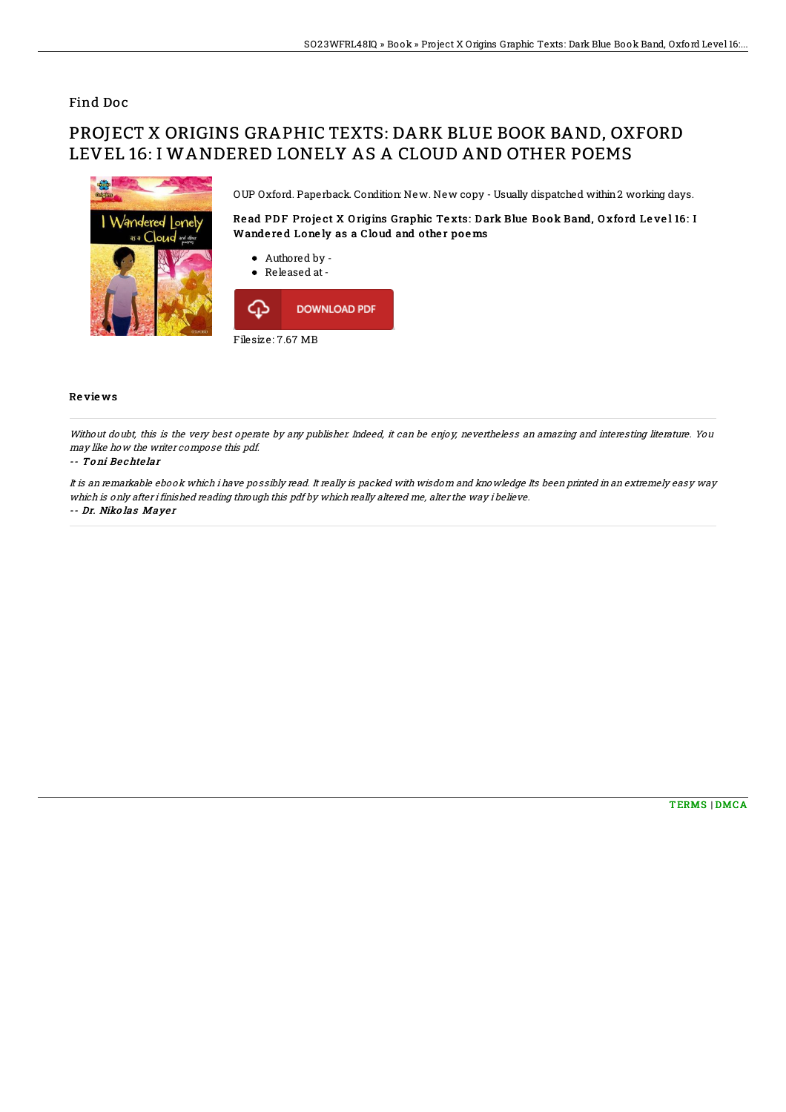## Find Doc

# PROJECT X ORIGINS GRAPHIC TEXTS: DARK BLUE BOOK BAND, OXFORD LEVEL 16: I WANDERED LONELY AS A CLOUD AND OTHER POEMS



OUP Oxford. Paperback. Condition: New. New copy - Usually dispatched within2 working days.

Read PDF Project X Origins Graphic Texts: Dark Blue Book Band, Oxford Level 16: I Wandered Lonely as a Cloud and other poems

- Authored by -
- Released at-



### Re vie ws

Without doubt, this is the very best operate by any publisher. Indeed, it can be enjoy, nevertheless an amazing and interesting literature. You may like how the writer compose this pdf.

#### -- To ni Be chte lar

It is an remarkable ebook which i have possibly read. It really is packed with wisdom and knowledge Its been printed in an extremely easy way which is only after i finished reading through this pdf by which really altered me, alter the way i believe.

#### -- Dr. Niko las Maye <sup>r</sup>